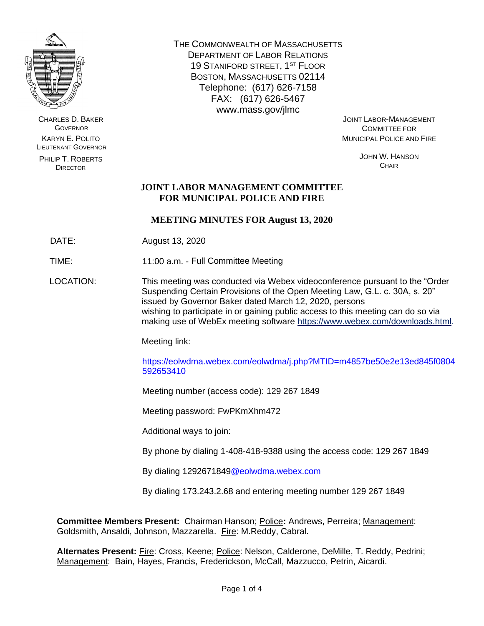

CHARLES D. BAKER **GOVERNOR** KARYN E. POLITO LIEUTENANT GOVERNOR

PHILIP T. ROBERTS DIRECTOR

THE COMMONWEALTH OF MASSACHUSETTS DEPARTMENT OF LABOR RELATIONS 19 STANIFORD STREET, 1<sup>ST</sup> FLOOR BOSTON, MASSACHUSETTS 02114 Telephone: (617) 626-7158 FAX: (617) 626-5467 www.mass.gov/jlmc

JOINT LABOR-MANAGEMENT COMMITTEE FOR MUNICIPAL POLICE AND FIRE

> JOHN W. HANSON **CHAIR**

# **JOINT LABOR MANAGEMENT COMMITTEE FOR MUNICIPAL POLICE AND FIRE**

# **MEETING MINUTES FOR August 13, 2020**

DATE: August 13, 2020

TIME: 11:00 a.m. - Full Committee Meeting

LOCATION: This meeting was conducted via Webex videoconference pursuant to the "Order Suspending Certain Provisions of the Open Meeting Law, G.L. c. 30A, s. 20" issued by Governor Baker dated March 12, 2020, persons wishing to participate in or gaining public access to this meeting can do so via making use of WebEx meeting software [https://www.webex.com/downloads.html.](https://www.webex.com/downloads.html)

Meeting link:

https://eolwdma.webex.com/eolwdma/j.php?MTID=m4857be50e2e13ed845f0804 592653410

Meeting number (access code): 129 267 1849

Meeting password: FwPKmXhm472

Additional ways to join:

By phone by dialing 1-408-418-9388 using the access code: 129 267 1849

By dialing 1292671849@eolwdma.webex.com

By dialing 173.243.2.68 and entering meeting number 129 267 1849

**Committee Members Present:** Chairman Hanson; Police**:** Andrews, Perreira; Management: Goldsmith, Ansaldi, Johnson, Mazzarella. Fire: M.Reddy, Cabral.

**Alternates Present:** Fire: Cross, Keene; Police: Nelson, Calderone, DeMille, T. Reddy, Pedrini; Management: Bain, Hayes, Francis, Frederickson, McCall, Mazzucco, Petrin, Aicardi.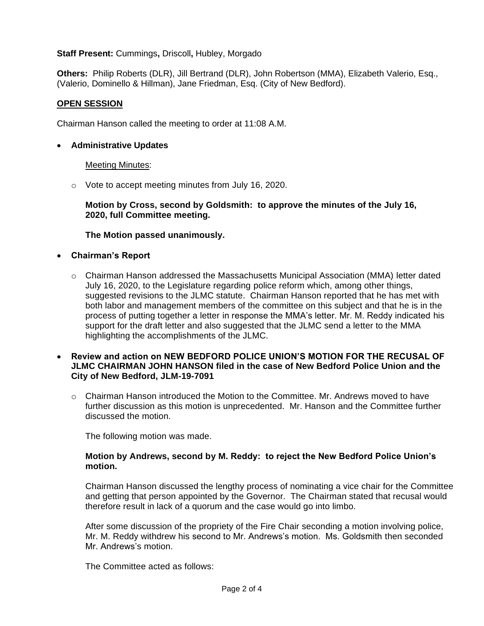## **Staff Present:** Cummings**,** Driscoll**,** Hubley, Morgado

**Others:** Philip Roberts (DLR), Jill Bertrand (DLR), John Robertson (MMA), Elizabeth Valerio, Esq., (Valerio, Dominello & Hillman), Jane Friedman, Esq. (City of New Bedford).

# **OPEN SESSION**

Chairman Hanson called the meeting to order at 11:08 A.M.

## • **Administrative Updates**

#### **Meeting Minutes:**

o Vote to accept meeting minutes from July 16, 2020.

**Motion by Cross, second by Goldsmith: to approve the minutes of the July 16, 2020, full Committee meeting.**

#### **The Motion passed unanimously.**

- **Chairman's Report**
	- $\circ$  Chairman Hanson addressed the Massachusetts Municipal Association (MMA) letter dated July 16, 2020, to the Legislature regarding police reform which, among other things, suggested revisions to the JLMC statute. Chairman Hanson reported that he has met with both labor and management members of the committee on this subject and that he is in the process of putting together a letter in response the MMA's letter. Mr. M. Reddy indicated his support for the draft letter and also suggested that the JLMC send a letter to the MMA highlighting the accomplishments of the JLMC.

#### • **Review and action on NEW BEDFORD POLICE UNION'S MOTION FOR THE RECUSAL OF JLMC CHAIRMAN JOHN HANSON filed in the case of New Bedford Police Union and the City of New Bedford, JLM-19-7091**

 $\circ$  Chairman Hanson introduced the Motion to the Committee. Mr. Andrews moved to have further discussion as this motion is unprecedented. Mr. Hanson and the Committee further discussed the motion.

The following motion was made.

#### **Motion by Andrews, second by M. Reddy: to reject the New Bedford Police Union's motion.**

Chairman Hanson discussed the lengthy process of nominating a vice chair for the Committee and getting that person appointed by the Governor. The Chairman stated that recusal would therefore result in lack of a quorum and the case would go into limbo.

After some discussion of the propriety of the Fire Chair seconding a motion involving police, Mr. M. Reddy withdrew his second to Mr. Andrews's motion. Ms. Goldsmith then seconded Mr. Andrews's motion.

The Committee acted as follows: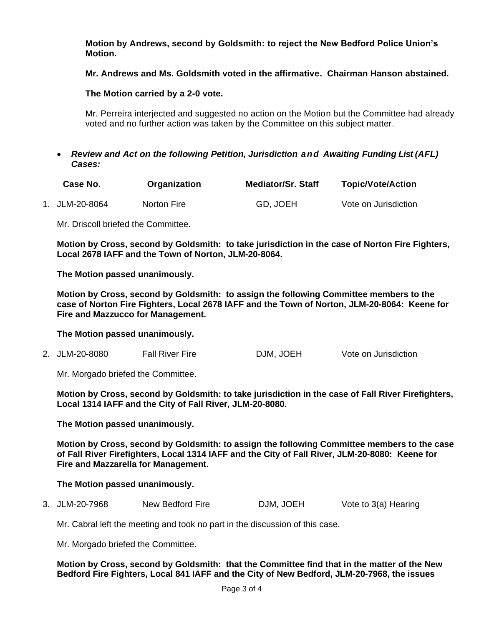**Motion by Andrews, second by Goldsmith: to reject the New Bedford Police Union's Motion.**

**Mr. Andrews and Ms. Goldsmith voted in the affirmative. Chairman Hanson abstained.**

**The Motion carried by a 2-0 vote.**

Mr. Perreira interjected and suggested no action on the Motion but the Committee had already voted and no further action was taken by the Committee on this subject matter.

• *Review and Act on the following Petition, Jurisdiction and Awaiting Funding List (AFL) Cases:*

| Case No.       | Organization | <b>Mediator/Sr. Staff</b> | <b>Topic/Vote/Action</b> |
|----------------|--------------|---------------------------|--------------------------|
| 1. JLM-20-8064 | Norton Fire  | GD, JOEH                  | Vote on Jurisdiction     |

Mr. Driscoll briefed the Committee.

**Motion by Cross, second by Goldsmith: to take jurisdiction in the case of Norton Fire Fighters, Local 2678 IAFF and the Town of Norton, JLM-20-8064.**

**The Motion passed unanimously.**

**Motion by Cross, second by Goldsmith: to assign the following Committee members to the case of Norton Fire Fighters, Local 2678 IAFF and the Town of Norton, JLM-20-8064: Keene for Fire and Mazzucco for Management.**

**The Motion passed unanimously.**

2. JLM-20-8080 Fall River Fire DJM, JOEH Vote on Jurisdiction

Mr. Morgado briefed the Committee.

**Motion by Cross, second by Goldsmith: to take jurisdiction in the case of Fall River Firefighters, Local 1314 IAFF and the City of Fall River, JLM-20-8080.**

**The Motion passed unanimously.**

**Motion by Cross, second by Goldsmith: to assign the following Committee members to the case of Fall River Firefighters, Local 1314 IAFF and the City of Fall River, JLM-20-8080: Keene for Fire and Mazzarella for Management.**

#### **The Motion passed unanimously.**

3. JLM-20-7968 New Bedford Fire DJM, JOEH Vote to 3(a) Hearing

Mr. Cabral left the meeting and took no part in the discussion of this case.

Mr. Morgado briefed the Committee.

**Motion by Cross, second by Goldsmith: that the Committee find that in the matter of the New Bedford Fire Fighters, Local 841 IAFF and the City of New Bedford, JLM-20-7968, the issues**